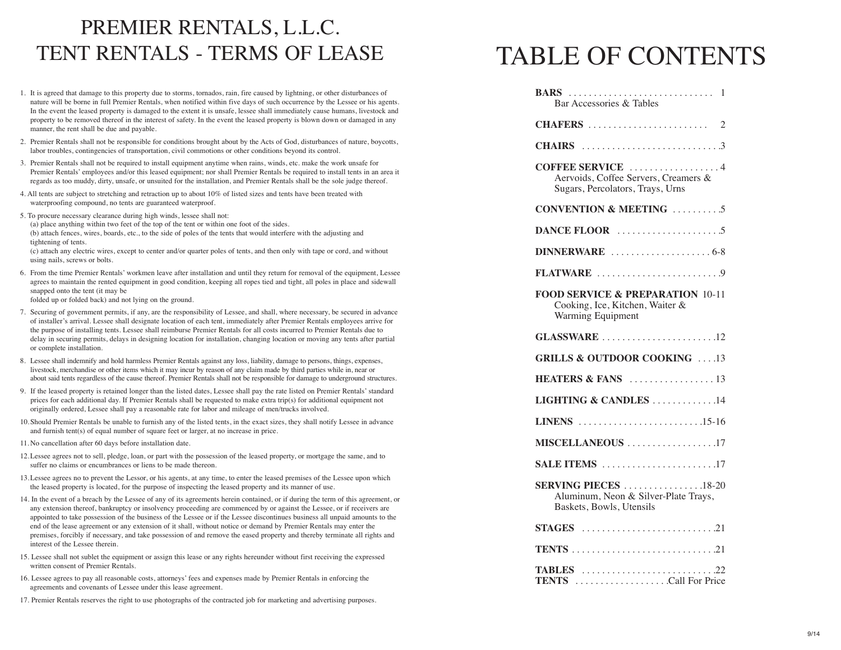# PREMIER RENTALS, L.L.C. TENT RENTALS - TERMS OF LEASE

- 1. It is agreed that damage to this property due to storms, tornados, rain, fire caused by lightning, or other disturbances of nature will be borne in full Premier Rentals, when notified within five days of such occurrence by the Lessee or his agents. In the event the leased property is damaged to the extent it is unsafe, lessee shall immediately cause humans, livestock and property to be removed thereof in the interest of safety. In the event the leased property is blown down or damaged in any manner, the rent shall be due and payable.
- 2. Premier Rentals shall not be responsible for conditions brought about by the Acts of God, disturbances of nature, boycotts, labor troubles, contingencies of transportation, civil commotions or other conditions beyond its control.
- 3. Premier Rentals shall not be required to install equipment anytime when rains, winds, etc. make the work unsafe for Premier Rentals' employees and/or this leased equipment; nor shall Premier Rentals be required to install tents in an area it regards as too muddy, dirty, unsafe, or unsuited for the installation, and Premier Rentals shall be the sole judge thereof.
- 4. All tents are subject to stretching and retraction up to about 10% of listed sizes and tents have been treated with waterproofing compound, no tents are guaranteed waterproof.
- 5. To procure necessary clearance during high winds, lessee shall not:

(a) place anything within two feet of the top of the tent or within one foot of the sides. (b) attach fences, wires, boards, etc., to the side of poles of the tents that would interfere with the adjusting and tightening of tents.

(c) attach any electric wires, except to center and/or quarter poles of tents, and then only with tape or cord, and without using nails, screws or bolts.

- 6. From the time Premier Rentals' workmen leave after installation and until they return for removal of the equipment, Lessee agrees to maintain the rented equipment in good condition, keeping all ropes tied and tight, all poles in place and sidewall snapped onto the tent (it may be folded up or folded back) and not lying on the ground.
	-
- 7. Securing of government permits, if any, are the responsibility of Lessee, and shall, where necessary, be secured in advance of installer's arrival. Lessee shall designate location of each tent, immediately after Premier Rentals employees arrive for the purpose of installing tents. Lessee shall reimburse Premier Rentals for all costs incurred to Premier Rentals due to delay in securing permits, delays in designing location for installation, changing location or moving any tents after partial or complete installation.
- 8. Lessee shall indemnify and hold harmless Premier Rentals against any loss, liability, damage to persons, things, expenses, livestock, merchandise or other items which it may incur by reason of any claim made by third parties while in, near or about said tents regardless of the cause thereof. Premier Rentals shall not be responsible for damage to underground structures.
- 9. If the leased property is retained longer than the listed dates, Lessee shall pay the rate listed on Premier Rentals' standard prices for each additional day. If Premier Rentals shall be requested to make extra trip(s) for additional equipment not originally ordered, Lessee shall pay a reasonable rate for labor and mileage of men/trucks involved.
- 10.Should Premier Rentals be unable to furnish any of the listed tents, in the exact sizes, they shall notify Lessee in advance and furnish tent(s) of equal number of square feet or larger, at no increase in price.
- 11. No cancellation after 60 days before installation date.
- 12.Lessee agrees not to sell, pledge, loan, or part with the possession of the leased property, or mortgage the same, and to suffer no claims or encumbrances or liens to be made thereon.
- 13.Lessee agrees no to prevent the Lessor, or his agents, at any time, to enter the leased premises of the Lessee upon which the leased property is located, for the purpose of inspecting the leased property and its manner of use.
- 14. In the event of a breach by the Lessee of any of its agreements herein contained, or if during the term of this agreement, or any extension thereof, bankruptcy or insolvency proceeding are commenced by or against the Lessee, or if receivers are appointed to take possession of the business of the Lessee or if the Lessee discontinues business all unpaid amounts to the end of the lease agreement or any extension of it shall, without notice or demand by Premier Rentals may enter the premises, forcibly if necessary, and take possession of and remove the eased property and thereby terminate all rights and interest of the Lessee therein.
- 15. Lessee shall not sublet the equipment or assign this lease or any rights hereunder without first receiving the expressed written consent of Premier Rentals.
- 16. Lessee agrees to pay all reasonable costs, attorneys' fees and expenses made by Premier Rentals in enforcing the agreements and covenants of Lessee under this lease agreement.
- 17. Premier Rentals reserves the right to use photographs of the contracted job for marketing and advertising purposes.

# TABLE OF CONTENTS

| Bar Accessories & Tables                                                                            |
|-----------------------------------------------------------------------------------------------------|
|                                                                                                     |
|                                                                                                     |
| COFFEE SERVICE 4<br>Aervoids, Coffee Servers, Creamers &<br>Sugars, Percolators, Trays, Urns        |
| <b>CONVENTION &amp; MEETING</b> 5                                                                   |
|                                                                                                     |
|                                                                                                     |
| FLATWARE 9                                                                                          |
| <b>FOOD SERVICE &amp; PREPARATION 10-11</b><br>Cooking, Ice, Kitchen, Waiter &<br>Warming Equipment |
|                                                                                                     |
| <b>GRILLS &amp; OUTDOOR COOKING</b> 13                                                              |
|                                                                                                     |
| LIGHTING & CANDLES 14                                                                               |
| LINENS $\dots \dots \dots \dots \dots \dots \dots \dots \dots \dots \dots 15-16$                    |
| MISCELLANEOUS 17                                                                                    |
| SALE ITEMS 17                                                                                       |
| <b>SERVING PIECES</b> 18-20<br>Aluminum, Neon & Silver-Plate Trays,<br>Baskets, Bowls, Utensils     |
|                                                                                                     |
|                                                                                                     |
| <b>TABLES</b> 22<br><b>TENTS</b> Call For Price                                                     |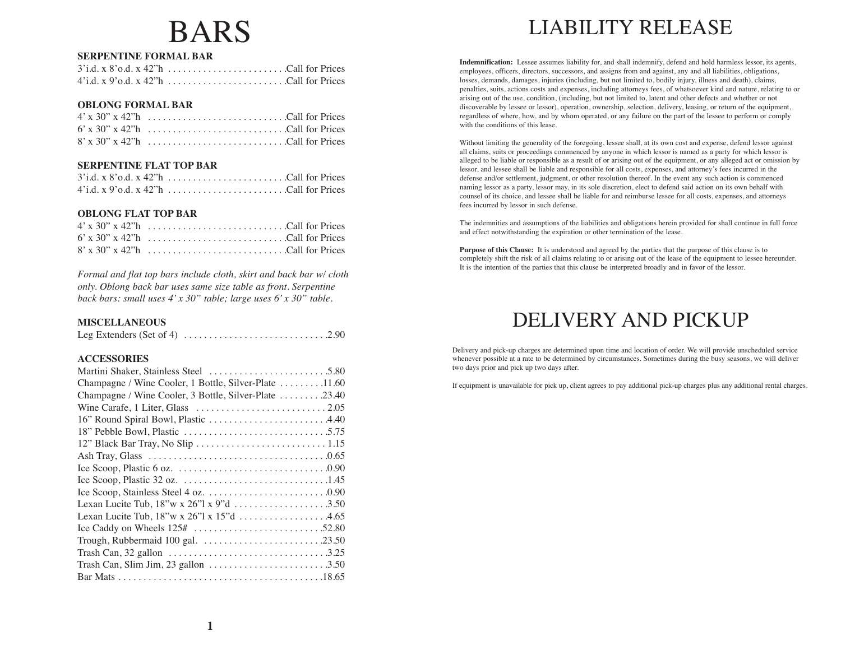# BARS

### **SERPENTINE FORMAL BAR**

| 4'i.d. x 9'o.d. x 42"h Call for Prices |  |  |  |  |  |  |  |  |  |  |  |  |  |
|----------------------------------------|--|--|--|--|--|--|--|--|--|--|--|--|--|

#### **OBLONG FORMAL BAR**

#### **SERPENTINE FLAT TOP BAR**

| $4'i.d. x 9' o.d. x 42'' h \dots \dots \dots \dots \dots \dots$ . Call for Prices |  |
|-----------------------------------------------------------------------------------|--|

#### **OBLONG FLAT TOP BAR**

| $6'$ x 30" x 42" h $\ldots$ $\ldots$ $\ldots$ $\ldots$ $\ldots$ $\ldots$ $\ldots$ $\ldots$ $\ldots$ $\ldots$ $\ldots$ $\ldots$ $\ldots$ $\ldots$ $\ldots$ $\ldots$ $\ldots$ $\ldots$ |  |
|--------------------------------------------------------------------------------------------------------------------------------------------------------------------------------------|--|
| $8'$ x 30" x 42"h Call for Prices                                                                                                                                                    |  |

*Formal and flat top bars include cloth, skirt and back bar w/ cloth only. Oblong back bar uses same size table as front. Serpentine back bars: small uses 4' x 30" table; large uses 6' x 30" table.*

#### **MISCELLANEOUS**

|--|--|

#### **ACCESSORIES**

| Champagne / Wine Cooler, 1 Bottle, Silver-Plate 11.60         |  |
|---------------------------------------------------------------|--|
| Champagne / Wine Cooler, 3 Bottle, Silver-Plate 23.40         |  |
|                                                               |  |
|                                                               |  |
|                                                               |  |
|                                                               |  |
|                                                               |  |
|                                                               |  |
|                                                               |  |
|                                                               |  |
| Lexan Lucite Tub, $18''w \times 26''1 \times 9''d \dots$ 3.50 |  |
| Lexan Lucite Tub, 18"w x 26"l x 15"d 4.65                     |  |
|                                                               |  |
|                                                               |  |
|                                                               |  |
|                                                               |  |
|                                                               |  |

# LIABILITY RELEASE

**Indemnification:** Lessee assumes liability for, and shall indemnify, defend and hold harmless lessor, its agents, employees, officers, directors, successors, and assigns from and against, any and all liabilities, obligations, losses, demands, damages, injuries (including, but not limited to, bodily injury, illness and death), claims, penalties, suits, actions costs and expenses, including attorneys fees, of whatsoever kind and nature, relating to or arising out of the use, condition, (including, but not limited to, latent and other defects and whether or not discoverable by lessee or lessor), operation, ownership, selection, delivery, leasing, or return of the equipment, regardless of where, how, and by whom operated, or any failure on the part of the lessee to perform or comply with the conditions of this lease.

Without limiting the generality of the foregoing, lessee shall, at its own cost and expense, defend lessor against all claims, suits or proceedings commenced by anyone in which lessor is named as a party for which lessor is alleged to be liable or responsible as a result of or arising out of the equipment, or any alleged act or omission by lessor, and lessee shall be liable and responsible for all costs, expenses, and attorney's fees incurred in the defense and/or settlement, judgment, or other resolution thereof. In the event any such action is commenced naming lessor as a party, lessor may, in its sole discretion, elect to defend said action on its own behalf with counsel of its choice, and lessee shall be liable for and reimburse lessee for all costs, expenses, and attorneys fees incurred by lessor in such defense.

The indemnities and assumptions of the liabilities and obligations herein provided for shall continue in full force and effect notwithstanding the expiration or other termination of the lease.

**Purpose of this Clause:** It is understood and agreed by the parties that the purpose of this clause is to completely shift the risk of all claims relating to or arising out of the lease of the equipment to lessee hereunder. It is the intention of the parties that this clause be interpreted broadly and in favor of the lessor.

# DELIVERY AND PICKUP

Delivery and pick-up charges are determined upon time and location of order. We will provide unscheduled service whenever possible at a rate to be determined by circumstances. Sometimes during the busy seasons, we will deliver two days prior and pick up two days after.

If equipment is unavailable for pick up, client agrees to pay additional pick-up charges plus any additional rental charges.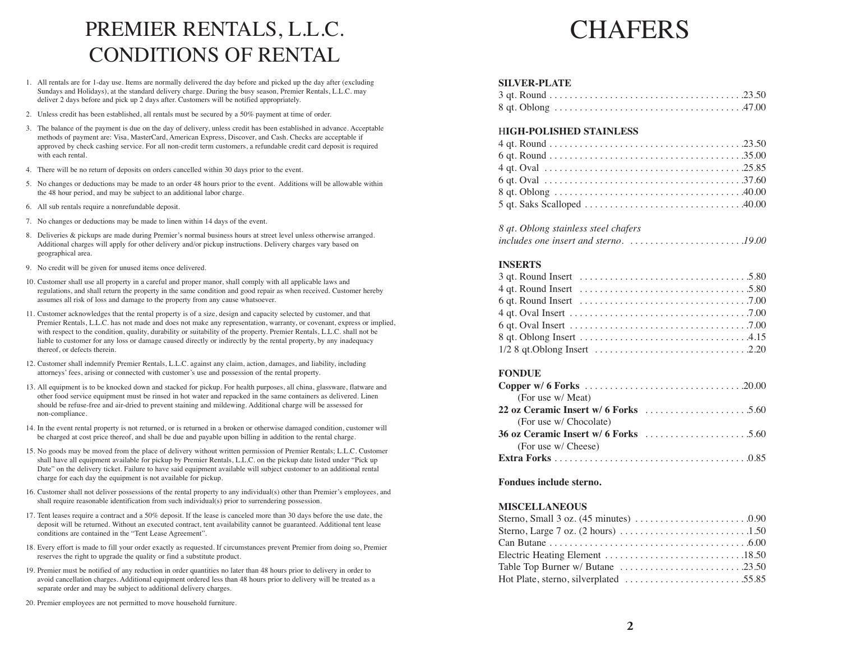# PREMIER RENTALS, L.L.C. CONDITIONS OF RENTAL

- 1. All rentals are for 1-day use. Items are normally delivered the day before and picked up the day after (excluding Sundays and Holidays), at the standard delivery charge. During the busy season, Premier Rentals, L.L.C. may deliver 2 days before and pick up 2 days after. Customers will be notified appropriately.
- 2. Unless credit has been established, all rentals must be secured by a 50% payment at time of order.
- 3. The balance of the payment is due on the day of delivery, unless credit has been established in advance. Acceptable methods of payment are: Visa, MasterCard, American Express, Discover, and Cash. Checks are acceptable if approved by check cashing service. For all non-credit term customers, a refundable credit card deposit is required with each rental.
- 4. There will be no return of deposits on orders cancelled within 30 days prior to the event.
- 5. No changes or deductions may be made to an order 48 hours prior to the event. Additions will be allowable within the 48 hour period, and may be subject to an additional labor charge.
- 6. All sub rentals require a nonrefundable deposit.
- 7. No changes or deductions may be made to linen within 14 days of the event.
- 8. Deliveries & pickups are made during Premier's normal business hours at street level unless otherwise arranged. Additional charges will apply for other delivery and/or pickup instructions. Delivery charges vary based on geographical area.
- 9. No credit will be given for unused items once delivered.
- 10. Customer shall use all property in a careful and proper manor, shall comply with all applicable laws and regulations, and shall return the property in the same condition and good repair as when received. Customer hereby assumes all risk of loss and damage to the property from any cause whatsoever.
- 11. Customer acknowledges that the rental property is of a size, design and capacity selected by customer, and that Premier Rentals, L.L.C. has not made and does not make any representation, warranty, or covenant, express or implied, with respect to the condition, quality, durability or suitability of the property. Premier Rentals, L.L.C. shall not be liable to customer for any loss or damage caused directly or indirectly by the rental property, by any inadequacy thereof, or defects therein.
- 12. Customer shall indemnify Premier Rentals, L.L.C. against any claim, action, damages, and liability, including attorneys' fees, arising or connected with customer's use and possession of the rental property.
- 13. All equipment is to be knocked down and stacked for pickup. For health purposes, all china, glassware, flatware and other food service equipment must be rinsed in hot water and repacked in the same containers as delivered. Linen should be refuse-free and air-dried to prevent staining and mildewing. Additional charge will be assessed for non-compliance.
- 14. In the event rental property is not returned, or is returned in a broken or otherwise damaged condition, customer will be charged at cost price thereof, and shall be due and payable upon billing in addition to the rental charge.
- 15. No goods may be moved from the place of delivery without written permission of Premier Rentals; L.L.C. Customer shall have all equipment available for pickup by Premier Rentals, L.L.C. on the pickup date listed under "Pick up Date" on the delivery ticket. Failure to have said equipment available will subject customer to an additional rental charge for each day the equipment is not available for pickup.
- 16. Customer shall not deliver possessions of the rental property to any individual(s) other than Premier's employees, and shall require reasonable identification from such individual(s) prior to surrendering possession.
- 17. Tent leases require a contract and a 50% deposit. If the lease is canceled more than 30 days before the use date, the deposit will be returned. Without an executed contract, tent availability cannot be guaranteed. Additional tent lease conditions are contained in the "Tent Lease Agreement".
- 18. Every effort is made to fill your order exactly as requested. If circumstances prevent Premier from doing so, Premier reserves the right to upgrade the quality or find a substitute product.
- 19. Premier must be notified of any reduction in order quantities no later than 48 hours prior to delivery in order to avoid cancellation charges. Additional equipment ordered less than 48 hours prior to delivery will be treated as a separate order and may be subject to additional delivery charges.
- 20. Premier employees are not permitted to move household furniture.

# CHAFERS

#### **SILVER-PLATE**

#### H**IGH-POLISHED STAINLESS**

| 8 qt. Oblong stainless steel chafers                                                      |  |
|-------------------------------------------------------------------------------------------|--|
| includes one insert and sterno. $\ldots \ldots \ldots \ldots \ldots \ldots \ldots \ldots$ |  |

#### **INSERTS**

| 4 qt. Round Insert $\dots \dots \dots \dots \dots \dots \dots \dots \dots \dots \dots \dots 5.80$ |  |
|---------------------------------------------------------------------------------------------------|--|
|                                                                                                   |  |
|                                                                                                   |  |
|                                                                                                   |  |
|                                                                                                   |  |
|                                                                                                   |  |

#### **FONDUE**

#### **Fondues include sterno.**

#### **MISCELLANEOUS**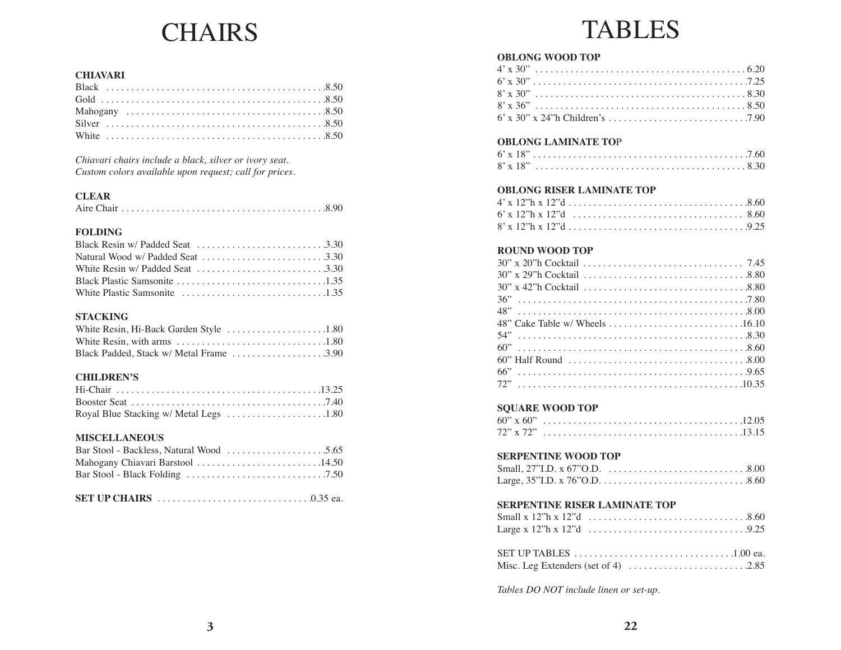# CHAIRS

### **CHIAVARI**

*Chiavari chairs include a black, silver or ivory seat. Custom colors available upon request; call for prices.*

## **CLEAR**

|--|--|--|--|--|--|--|--|--|--|--|--|--|--|--|--|--|--|--|--|--|--|--|--|--|--|--|--|--|--|--|--|--|

### **FOLDING**

#### **STACKING**

| Black Padded, Stack w/ Metal Frame 3.90 |  |
|-----------------------------------------|--|

#### **CHILDREN'S**

#### **MISCELLANEOUS**

| Mahogany Chiavari Barstool 14.50 |  |
|----------------------------------|--|
|                                  |  |

|--|--|--|

# TABLES

### **OBLONG WOOD TOP**

### **OBLONG LAMINATE TO**P

### **OBLONG RISER LAMINATE TOP**

### **ROUND WOOD TOP**

### **SQUARE WOOD TOP**

# **SERPENTINE WOOD TOP**

### **SERPENTINE RISER LAMINATE TOP**

*Tables DO NOT include linen or set-up.*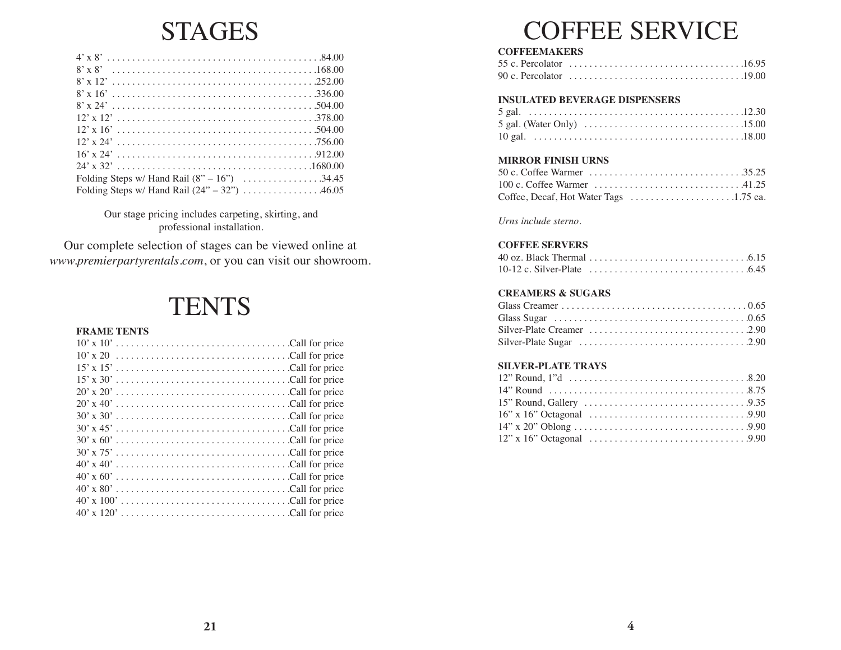# STAGES

| Folding Steps w/ Hand Rail $(24" - 32") \dots$ 46.05 |
|------------------------------------------------------|

Our stage pricing includes carpeting, skirting, and professional installation.

Our complete selection of stages can be viewed online at *www.premierpartyrentals.com*, or you can visit our showroom.

# **TENTS**

#### **FRAME TENTS**

|  |  |  |  |  |  |  |  |  |  |  |  |  |  |  |  | $15' \times 15' \ldots \ldots \ldots \ldots \ldots \ldots \ldots \ldots \ldots$ . Call for price |
|--|--|--|--|--|--|--|--|--|--|--|--|--|--|--|--|--------------------------------------------------------------------------------------------------|
|  |  |  |  |  |  |  |  |  |  |  |  |  |  |  |  |                                                                                                  |
|  |  |  |  |  |  |  |  |  |  |  |  |  |  |  |  |                                                                                                  |
|  |  |  |  |  |  |  |  |  |  |  |  |  |  |  |  |                                                                                                  |
|  |  |  |  |  |  |  |  |  |  |  |  |  |  |  |  |                                                                                                  |
|  |  |  |  |  |  |  |  |  |  |  |  |  |  |  |  |                                                                                                  |
|  |  |  |  |  |  |  |  |  |  |  |  |  |  |  |  |                                                                                                  |
|  |  |  |  |  |  |  |  |  |  |  |  |  |  |  |  |                                                                                                  |
|  |  |  |  |  |  |  |  |  |  |  |  |  |  |  |  |                                                                                                  |
|  |  |  |  |  |  |  |  |  |  |  |  |  |  |  |  |                                                                                                  |
|  |  |  |  |  |  |  |  |  |  |  |  |  |  |  |  |                                                                                                  |
|  |  |  |  |  |  |  |  |  |  |  |  |  |  |  |  |                                                                                                  |
|  |  |  |  |  |  |  |  |  |  |  |  |  |  |  |  |                                                                                                  |
|  |  |  |  |  |  |  |  |  |  |  |  |  |  |  |  |                                                                                                  |

# COFFEE SERVICE

# **COFFEEMAKERS**

| 55 c. Percolator $\ldots \ldots \ldots \ldots \ldots \ldots \ldots \ldots \ldots \ldots \ldots \ldots \ldots 16.95$ |  |
|---------------------------------------------------------------------------------------------------------------------|--|
| 90 c. Percolator $\ldots \ldots \ldots \ldots \ldots \ldots \ldots \ldots \ldots \ldots \ldots \ldots \ldots 19.00$ |  |

### **INSULATED BEVERAGE DISPENSERS**

# **MIRROR FINISH URNS**

| 50 c. Coffee Warmer $\ldots \ldots \ldots \ldots \ldots \ldots \ldots \ldots \ldots \ldots$ .35.25 |  |
|----------------------------------------------------------------------------------------------------|--|
| 100 c. Coffee Warmer $\ldots \ldots \ldots \ldots \ldots \ldots \ldots \ldots$ . 41.25             |  |
|                                                                                                    |  |

*Urns include sterno*.

# **COFFEE SERVERS**

| 40 oz. Black Thermal $\ldots \ldots \ldots \ldots \ldots \ldots \ldots \ldots \ldots \ldots$ |  |  |  |  |  |  |  |  |  |  |  |  |  |  |
|----------------------------------------------------------------------------------------------|--|--|--|--|--|--|--|--|--|--|--|--|--|--|
|                                                                                              |  |  |  |  |  |  |  |  |  |  |  |  |  |  |

# **CREAMERS & SUGARS**

### **SILVER-PLATE TRAYS**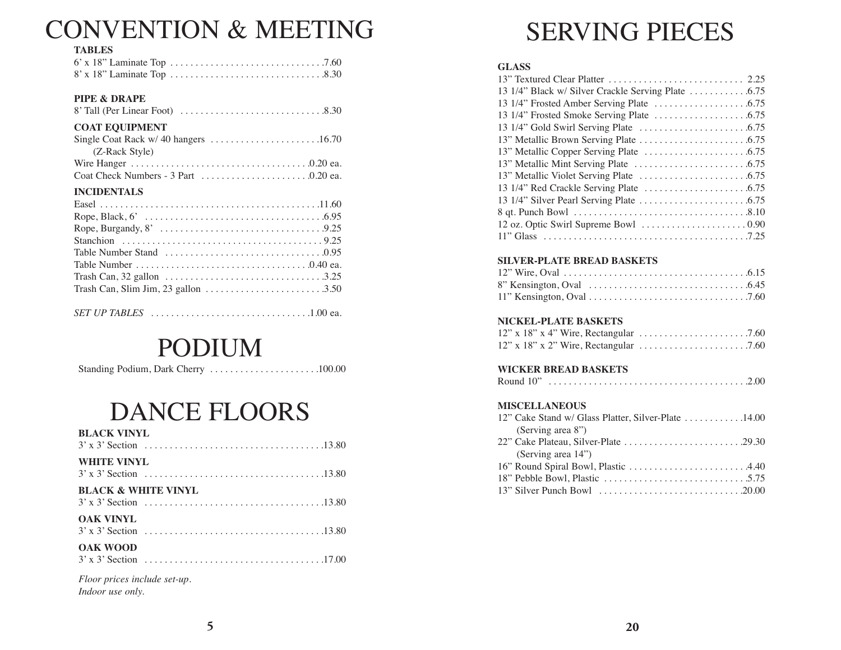# CONVENTION & MEETING

#### **TABLES**

#### **PIPE & DRAPE**

|--|--|--|

# **COAT EQUIPMENT**

| (Z-Rack Style) |  |
|----------------|--|
|                |  |
|                |  |

#### **INCIDENTALS**

| Trash Can, Slim Jim, 23 gallon $\dots \dots \dots \dots \dots \dots \dots \dots \dots$ |  |
|----------------------------------------------------------------------------------------|--|
|                                                                                        |  |

*SET UP TABLES* . . . . . . . . . . . . . . . . . . . . . . . . . . . . . . . .1.00 ea.

# PODIUM

Standing Podium, Dark Cherry . . . . . . . . . . . . . . . . . . . . . .100.00

# DANCE FLOORS

| <b>BLACK VINYL</b>                               |
|--------------------------------------------------|
| <b>WHITE VINYL</b>                               |
| <b>BLACK &amp; WHITE VINYL</b>                   |
| <b>OAK VINYL</b>                                 |
| <b>OAK WOOD</b>                                  |
| Floor prices include set-up.<br>Indoor use only. |

SERVING PIECES

### **GLASS**

### **SILVER-PLATE BREAD BASKETS**

# **NICKEL-PLATE BASKETS**

#### **WICKER BREAD BASKETS**

| Round 10" |  |
|-----------|--|
|-----------|--|

#### **MISCELLANEOUS**

| 12" Cake Stand w/ Glass Platter, Silver-Plate 14.00                                              |  |
|--------------------------------------------------------------------------------------------------|--|
| (Serving area 8")                                                                                |  |
| 22" Cake Plateau, Silver-Plate $\ldots \ldots \ldots \ldots \ldots \ldots \ldots \ldots$ . 29.30 |  |
| (Serving area 14")                                                                               |  |
|                                                                                                  |  |
|                                                                                                  |  |
|                                                                                                  |  |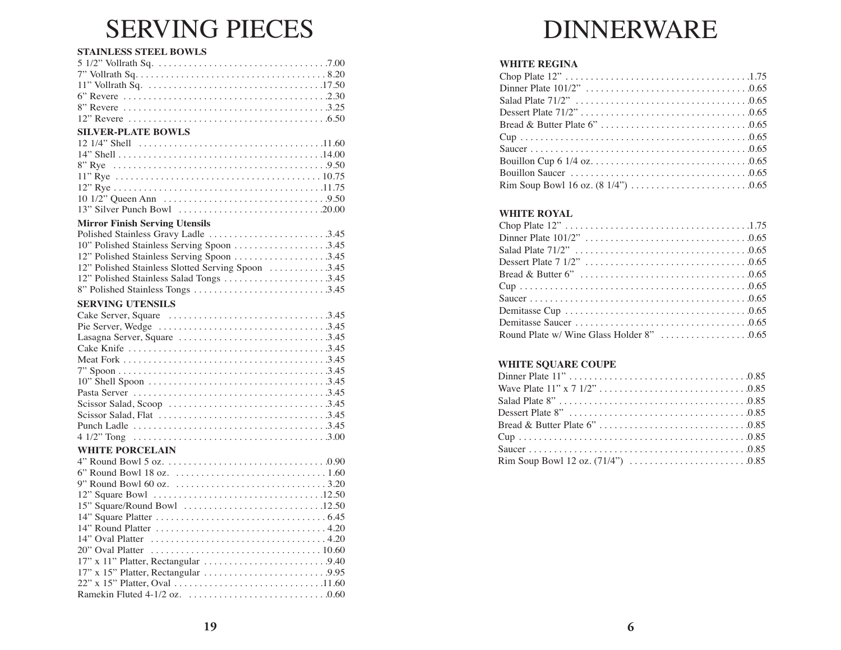# SERVING PIECES

### **STAINLESS STEEL BOWLS**

#### **Mirror Finish Serving Utensils**

| Polished Stainless Gravy Ladle 3.45               |
|---------------------------------------------------|
| 10" Polished Stainless Serving Spoon 3.45         |
| 12" Polished Stainless Serving Spoon 3.45         |
| 12" Polished Stainless Slotted Serving Spoon 3.45 |
| 12" Polished Stainless Salad Tongs 3.45           |
|                                                   |
|                                                   |

### **SERVING UTENSILS**

#### **WHITE PORCELAIN**

| 6" Round Bowl 18 oz. $\ldots \ldots \ldots \ldots \ldots \ldots \ldots \ldots \ldots \ldots 1.60$ |  |
|---------------------------------------------------------------------------------------------------|--|
|                                                                                                   |  |
|                                                                                                   |  |
| $15$ " Square/Round Bowl $\dots\dots\dots\dots\dots\dots\dots\dots\dots\dots\dots$                |  |
|                                                                                                   |  |
|                                                                                                   |  |
|                                                                                                   |  |
|                                                                                                   |  |
|                                                                                                   |  |
|                                                                                                   |  |
|                                                                                                   |  |
|                                                                                                   |  |
|                                                                                                   |  |

# DINNERWARE

# **WHITE REGINA**

### **WHITE ROYAL**

### **WHITE SQUARE COUPE**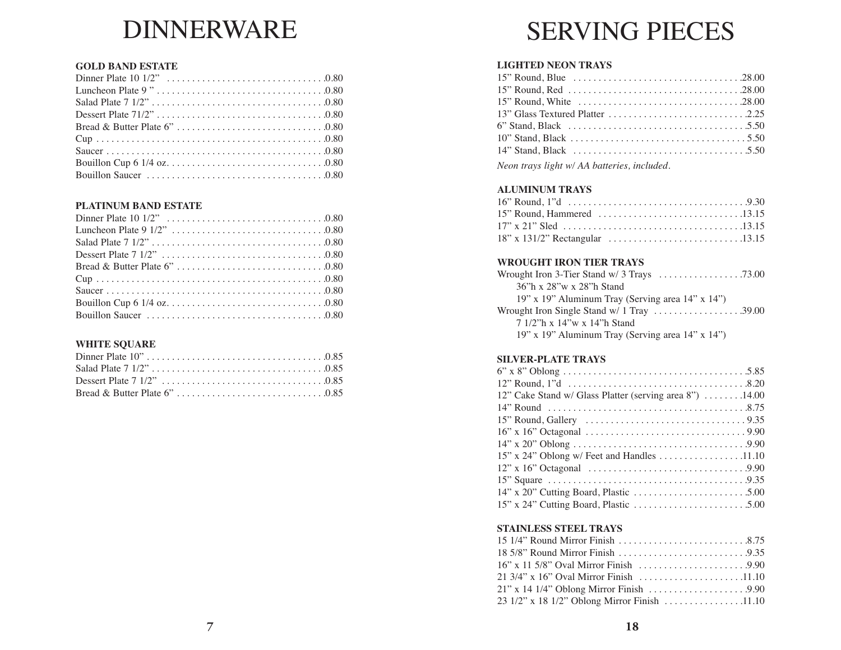# DINNERWARE

### **GOLD BAND ESTATE**

# **PLATINUM BAND ESTATE**

# **WHITE SQUARE**

# SERVING PIECES

# **LIGHTED NEON TRAYS**

*Neon trays light w/ AA batteries, included.*

# **ALUMINUM TRAYS**

# **WROUGHT IRON TIER TRAYS**

| Wrought Iron 3-Tier Stand $w/3$ Trays $\ldots \ldots \ldots \ldots \ldots \ldots$ .73.00 |  |
|------------------------------------------------------------------------------------------|--|
| 36"h x 28"w x 28"h Stand                                                                 |  |
| 19" x 19" Aluminum Tray (Serving area 14" x 14")                                         |  |
| Wrought Iron Single Stand $w/1$ Tray $\ldots \ldots \ldots \ldots \ldots \ldots$ .39.00  |  |
| 7 1/2"h x 14"w x 14"h Stand                                                              |  |
| 19" x 19" Aluminum Tray (Serving area 14" x 14")                                         |  |

# **SILVER-PLATE TRAYS**

| 12" Cake Stand w/ Glass Platter (serving area 8") 14.00 |  |
|---------------------------------------------------------|--|
|                                                         |  |
|                                                         |  |
|                                                         |  |
|                                                         |  |
| 15" x 24" Oblong w/ Feet and Handles 11.10              |  |
|                                                         |  |
|                                                         |  |
|                                                         |  |
|                                                         |  |

# **STAINLESS STEEL TRAYS**

| 23 1/2" x 18 1/2" Oblong Mirror Finish 11.10 |  |
|----------------------------------------------|--|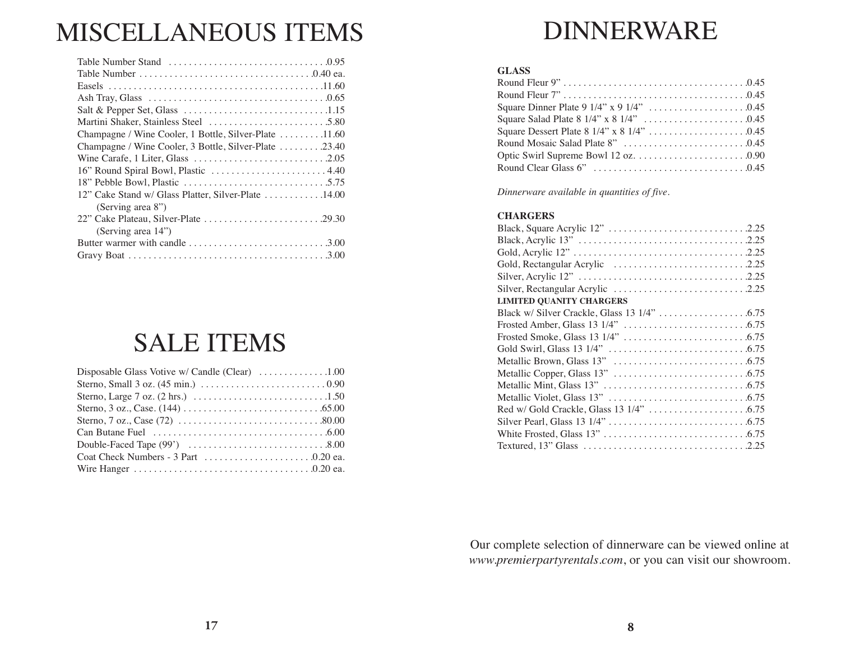# MISCELLANEOUS ITEMS

| Champagne / Wine Cooler, 1 Bottle, Silver-Plate 11.60 |
|-------------------------------------------------------|
| Champagne / Wine Cooler, 3 Bottle, Silver-Plate 23.40 |
|                                                       |
|                                                       |
|                                                       |
| 12" Cake Stand w/ Glass Platter, Silver-Plate 14.00   |
| (Serving area 8")                                     |
|                                                       |
| (Serving area 14")                                    |
|                                                       |
|                                                       |

# SALE ITEMS

| Disposable Glass Votive w/ Candle (Clear) 1.00                                 |  |
|--------------------------------------------------------------------------------|--|
|                                                                                |  |
|                                                                                |  |
|                                                                                |  |
|                                                                                |  |
| Can Butane Fuel $\dots\dots\dots\dots\dots\dots\dots\dots\dots\dots\dots\dots$ |  |
|                                                                                |  |
|                                                                                |  |
|                                                                                |  |

# DINNERWARE

### **GLASS**

*Dinnerware available in quantities of five.*

#### **CHARGERS**

| <b>LIMITED QUANITY CHARGERS</b> |
|---------------------------------|
|                                 |
|                                 |
|                                 |
| Gold Swirl, Glass 13 1/4"       |
| Metallic Brown, Glass 13"       |
| Metallic Copper, Glass 13"      |
|                                 |
|                                 |
|                                 |
|                                 |
|                                 |
|                                 |

Our complete selection of dinnerware can be viewed online at *www.premierpartyrentals.com*, or you can visit our showroom.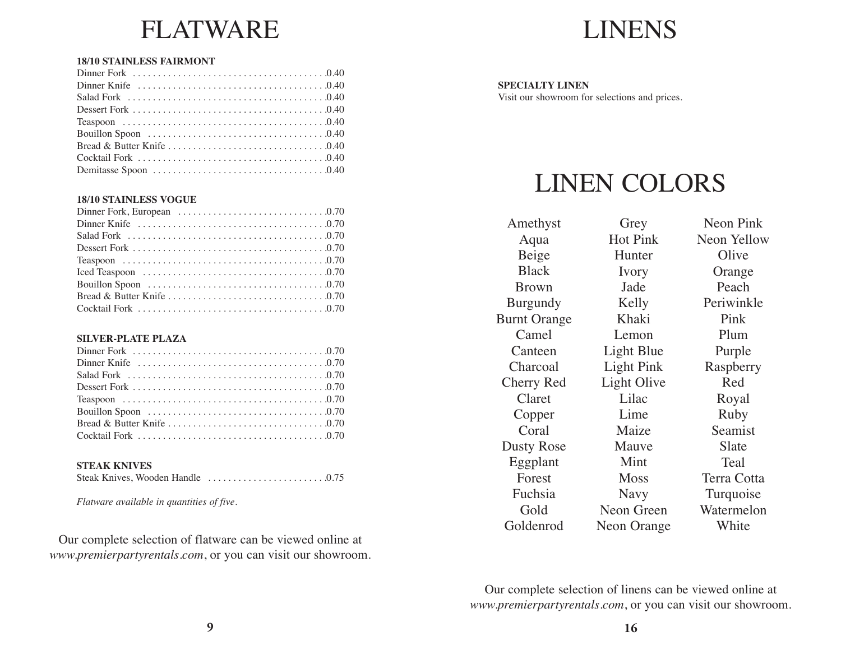# FLATWARE

### **18/10 STAINLESS FAIRMONT**

#### **18/10 STAINLESS VOGUE**

#### **SILVER-PLATE PLAZA**

#### **STEAK KNIVES**

|--|--|--|

*Flatware available in quantities of five.*

Our complete selection of flatware can be viewed online at *www.premierpartyrentals.com*, or you can visit our showroom.



# **SPECIALTY LINEN**

Visit our showroom for selections and prices.

# LINEN COLORS

Amethyst Aqua Beige Black Brown Burgundy Burnt Orange Camel **Canteen** Charcoal Cherry Red Claret Copper Coral Dusty Rose Eggplant Forest Fuchsia Gold Goldenrod Grey Hot Pink **Hunter** Ivory Jade Kelly Khaki Lemon Light Blue Light Pink Light Olive Lilac Lime Maize Mauve Mint Moss Navy Neon Green Neon Orange

Neon Pink Neon Yellow **Olive Orange** Peach Periwinkle Pink Plum Purple Raspberry Red Royal Ruby Seamist Slate Teal Terra Cotta Turquoise Watermelon **White** 

Our complete selection of linens can be viewed online at *www.premierpartyrentals.com*, or you can visit our showroom.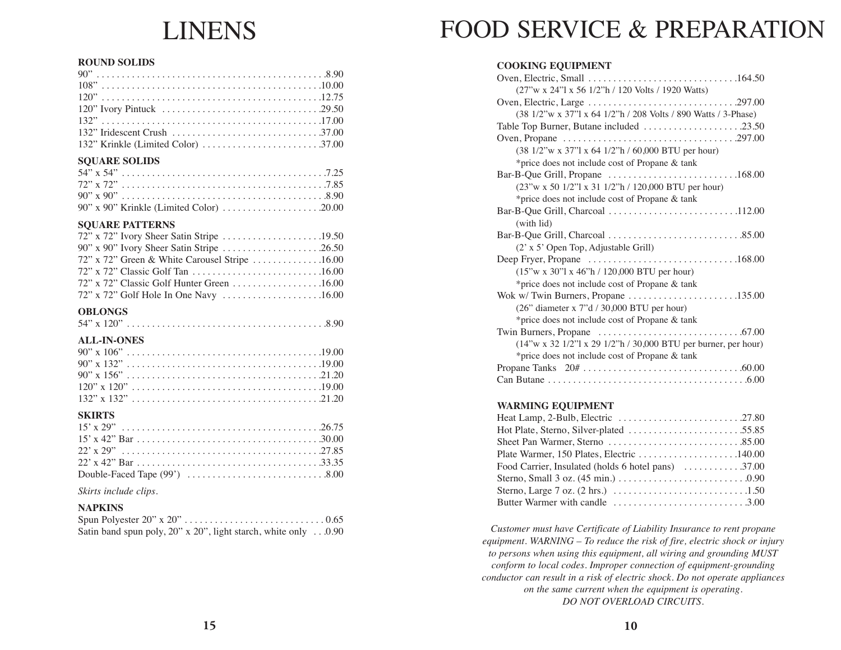# LINENS

#### **ROUND SOLIDS**

## **SQUARE SOLIDS**

#### **SQUARE PATTERNS**

| 72" x 72" Green & White Carousel Stripe 16.00 |  |
|-----------------------------------------------|--|
|                                               |  |
|                                               |  |
|                                               |  |

### **OBLONGS**

#### **ALL-IN-ONES**

| $120" \times 120"$ |  |
|--------------------|--|
|                    |  |

### **SKIRTS**

*Skirts include clips.*

#### **NAPKINS**

| Satin band spun poly, 20" x 20", light starch, white only0.90 |  |  |  |  |  |  |  |
|---------------------------------------------------------------|--|--|--|--|--|--|--|

# FOOD SERVICE & PREPARATION

### **COOKING EQUIPMENT**

| (27"w x 24"l x 56 1/2"h / 120 Volts / 1920 Watts)                                              |
|------------------------------------------------------------------------------------------------|
|                                                                                                |
| (38 1/2"w x 37"l x 64 1/2"h / 208 Volts / 890 Watts / 3-Phase)                                 |
| Table Top Burner, Butane included 23.50                                                        |
|                                                                                                |
| (38 1/2"w x 37"l x 64 1/2"h / 60,000 BTU per hour)                                             |
| *price does not include cost of Propane & tank                                                 |
|                                                                                                |
| (23"w x 50 1/2"l x 31 1/2"h / 120,000 BTU per hour)                                            |
| *price does not include cost of Propane & tank                                                 |
|                                                                                                |
| (with lid)                                                                                     |
|                                                                                                |
| (2' x 5' Open Top, Adjustable Grill)                                                           |
|                                                                                                |
| $(15''w x 30''l x 46''h / 120,000 BTU per hour)$                                               |
| *price does not include cost of Propane & tank                                                 |
|                                                                                                |
| (26" diameter x 7"d / 30,000 BTU per hour)                                                     |
| *price does not include cost of Propane & tank                                                 |
| Twin Burners, Propane $\ldots \ldots \ldots \ldots \ldots \ldots \ldots \ldots \ldots$ . 67.00 |
| (14"w x 32 1/2"l x 29 1/2"h / 30,000 BTU per burner, per hour)                                 |
| *price does not include cost of Propane & tank                                                 |
|                                                                                                |
|                                                                                                |
|                                                                                                |

### **WARMING EQUIPMENT**

| Food Carrier, Insulated (holds 6 hotel pans) 37.00 |
|----------------------------------------------------|
|                                                    |
|                                                    |
|                                                    |

*Customer must have Certificate of Liability Insurance to rent propane equipment. WARNING – To reduce the risk of fire, electric shock or injury to persons when using this equipment, all wiring and grounding MUST conform to local codes. Improper connection of equipment-grounding conductor can result in a risk of electric shock. Do not operate appliances on the same current when the equipment is operating. DO NOT OVERLOAD CIRCUITS.*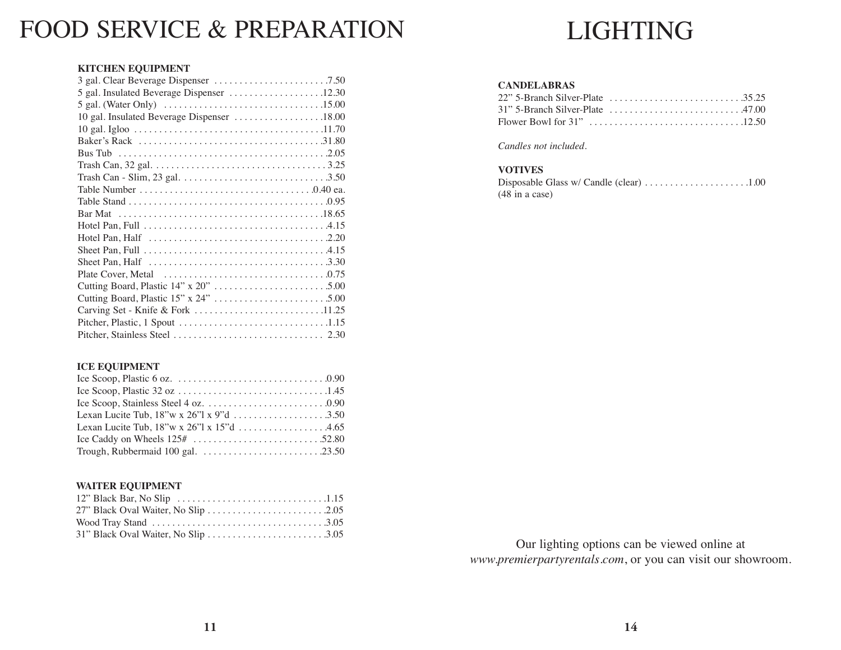# FOOD SERVICE & PREPARATION

# LIGHTING

### **KITCHEN EQUIPMENT**

| 10 gal. Insulated Beverage Dispenser 18.00                                                  |
|---------------------------------------------------------------------------------------------|
|                                                                                             |
|                                                                                             |
|                                                                                             |
| Trash Can, 32 gal. $\ldots$ . $\ldots$ . $\ldots$ . $\ldots$ . $\ldots$ . $\ldots$ . $3.25$ |
|                                                                                             |
|                                                                                             |
|                                                                                             |
|                                                                                             |
|                                                                                             |
|                                                                                             |
|                                                                                             |
|                                                                                             |
|                                                                                             |
|                                                                                             |
|                                                                                             |
| Carving Set - Knife & Fork 11.25                                                            |
|                                                                                             |
|                                                                                             |

# **CANDELABRAS**

*Candles not included.*

# **VOTIVES**

| $(48 \text{ in a case})$ |  |
|--------------------------|--|

# **ICE EQUIPMENT**

### **WAITER EQUIPMENT**

Our lighting options can be viewed online at *www.premierpartyrentals.com*, or you can visit our showroom.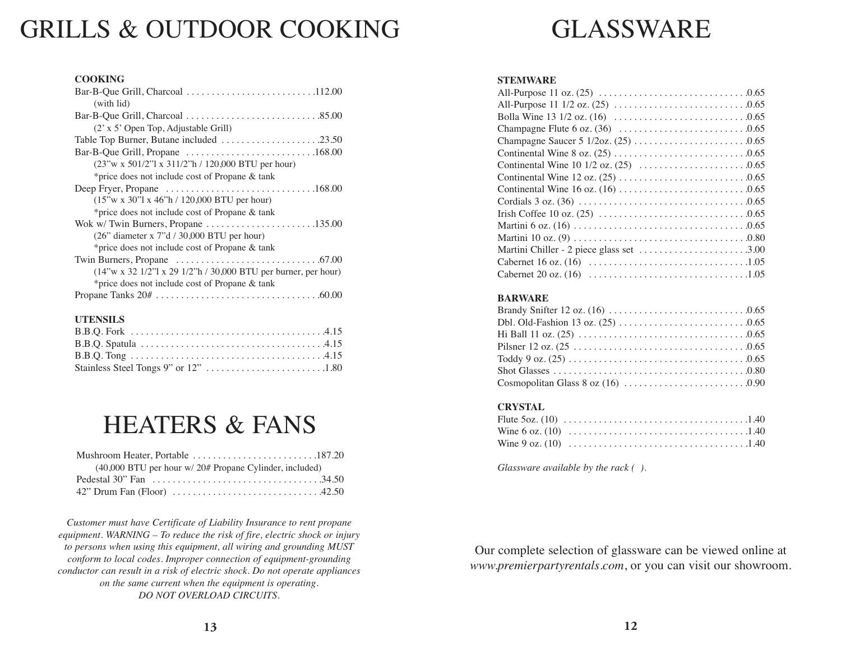# GRILLS & OUTDOOR COOKING

| <b>COOKING</b>                                                                |
|-------------------------------------------------------------------------------|
|                                                                               |
| (with lid)                                                                    |
|                                                                               |
| (2' x 5' Open Top, Adjustable Grill)                                          |
|                                                                               |
| Bar-B-Que Grill, Propane $\dots\dots\dots\dots\dots\dots\dots\dots\dots\dots$ |
| $(23''w \times 501/2''1 \times 311/2''h / 120,000 BTU per hour)$              |
| *price does not include cost of Propane & tank                                |
|                                                                               |
| $(15"$ w x 30"l x 46"h / 120,000 BTU per hour)                                |
| *price does not include cost of Propane & tank                                |
|                                                                               |
| $(26"$ diameter x 7"d / 30,000 BTU per hour)                                  |
| *price does not include cost of Propane & tank                                |
|                                                                               |
| $(14''w x 32 1/2''x 29 1/2''h / 30,000 BTU per burner, per hour)$             |
| *price does not include cost of Propane & tank                                |
|                                                                               |

#### **UTENSILS**

# HEATERS & FANS

| $(40,000$ BTU per hour w/ $20#$ Propane Cylinder, included) |
|-------------------------------------------------------------|
|                                                             |
|                                                             |

*Customer must have Certificate of Liability Insurance to rent propane equipment. WARNING – To reduce the risk of fire, electric shock or injury to persons when using this equipment, all wiring and grounding MUST conform to local codes. Improper connection of equipment-grounding conductor can result in a risk of electric shock. Do not operate appliances on the same current when the equipment is operating. DO NOT OVERLOAD CIRCUITS.*

# GLASSWARE

#### **STEMWARE**

### **BARWARE**

### **CRYSTAL**

*Glassware available by the rack ( ).*

Our complete selection of glassware can be viewed online at *www.premierpartyrentals.com*, or you can visit our showroom.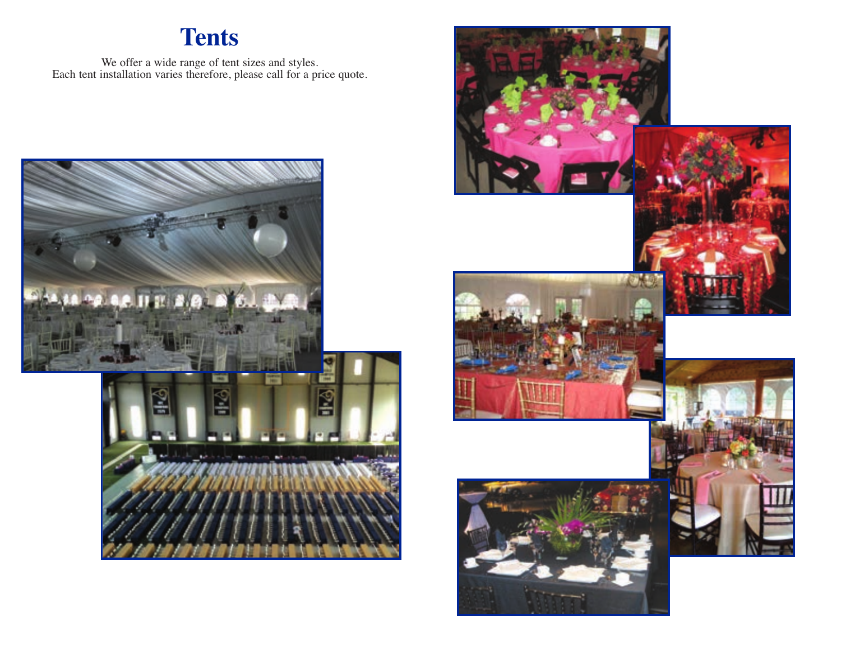# **Tents**

We offer a wide range of tent sizes and styles. Each tent installation varies therefore, please call for a price quote.



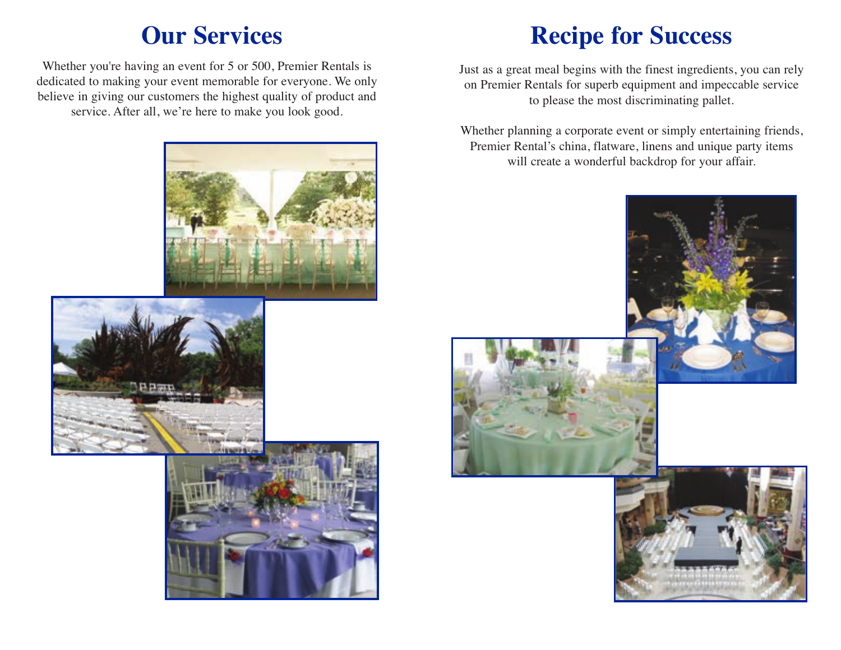# **Our Services**

Whether you're having an event for 5 or 500, Premier Rentals is dedicated to making your event memorable for everyone. We only believe in giving our customers the highest quality of product and service. After all, we're here to make you look good.



Just as a great meal begins with the finest ingredients, you can rely on Premier Rentals for superb equipment and impeccable service to please the most discriminating pallet.

Whether planning a corporate event or simply entertaining friends, Premier Rental's china, flatware, linens and unique party items will create a wonderful backdrop for your affair.